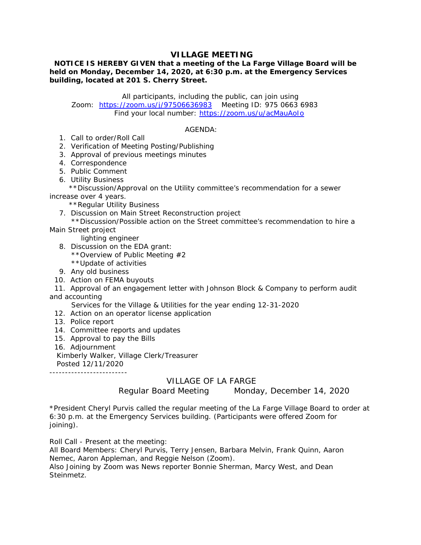# **VILLAGE MEETING**

 **NOTICE IS HEREBY GIVEN that a meeting of the La Farge Village Board will be held on Monday, December 14, 2020, at 6:30 p.m. at the Emergency Services building, located at 201 S. Cherry Street.**

All participants, including the public, can join using Zoom: https://zoom.us/j/97506636983 Meeting ID: 975 0663 6983 Find your local number: https://zoom.us/u/acMauAoIo

## AGENDA:

1. Call to order/Roll Call

2. Verification of Meeting Posting/Publishing

- 3. Approval of previous meetings minutes
- 4. Correspondence
- 5. Public Comment
- 6. Utility Business

 \*\*Discussion/Approval on the Utility committee's recommendation for a sewer increase over 4 years.

\*\*Regular Utility Business

- 7. Discussion on Main Street Reconstruction project
- \*\*Discussion/Possible action on the Street committee's recommendation to hire a Main Street project

lighting engineer

- 8. Discussion on the EDA grant:
	- \*\*Overview of Public Meeting #2
	- \*\*Update of activities
- 9. Any old business
- 10. Action on FEMA buyouts
- 11. Approval of an engagement letter with Johnson Block & Company to perform audit and accounting

Services for the Village & Utilities for the year ending 12-31-2020

- 12. Action on an operator license application
- 13. Police report
- 14. Committee reports and updates
- 15. Approval to pay the Bills
- 16. Adjournment

Kimberly Walker, Village Clerk/Treasurer

Posted 12/11/2020

-------------------------

# VILLAGE OF LA FARGE

Regular Board Meeting Monday, December 14, 2020

\*President Cheryl Purvis called the regular meeting of the La Farge Village Board to order at 6:30 p.m. at the Emergency Services building. (Participants were offered Zoom for joining).

Roll Call - Present at the meeting:

All Board Members: Cheryl Purvis, Terry Jensen, Barbara Melvin, Frank Quinn, Aaron Nemec, Aaron Appleman, and Reggie Nelson (Zoom).

Also Joining by Zoom was News reporter Bonnie Sherman, Marcy West, and Dean **Steinmetz**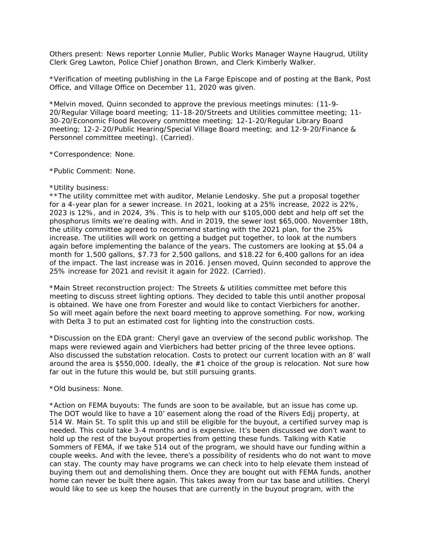Others present: News reporter Lonnie Muller, Public Works Manager Wayne Haugrud, Utility Clerk Greg Lawton, Police Chief Jonathon Brown, and Clerk Kimberly Walker.

\*Verification of meeting publishing in the La Farge Episcope and of posting at the Bank, Post Office, and Village Office on December 11, 2020 was given.

\*Melvin moved, Quinn seconded to approve the previous meetings minutes: (11-9- 20/Regular Village board meeting; 11-18-20/Streets and Utilities committee meeting; 11- 30-20/Economic Flood Recovery committee meeting; 12-1-20/Regular Library Board meeting; 12-2-20/Public Hearing/Special Village Board meeting; and 12-9-20/Finance & Personnel committee meeting). (Carried).

\*Correspondence: None.

\*Public Comment: None.

#### \*Utility business:

\*\*The utility committee met with auditor, Melanie Lendosky. She put a proposal together for a 4-year plan for a sewer increase. In 2021, looking at a 25% increase, 2022 is 22%, 2023 is 12%, and in 2024, 3%. This is to help with our \$105,000 debt and help off set the phosphorus limits we're dealing with. And in 2019, the sewer lost \$65,000. November 18th, the utility committee agreed to recommend starting with the 2021 plan, for the 25% increase. The utilities will work on getting a budget put together, to look at the numbers again before implementing the balance of the years. The customers are looking at \$5.04 a month for 1,500 gallons, \$7.73 for 2,500 gallons, and \$18.22 for 6,400 gallons for an idea of the impact. The last increase was in 2016. Jensen moved, Quinn seconded to approve the 25% increase for 2021 and revisit it again for 2022. (Carried).

\*Main Street reconstruction project: The Streets & utilities committee met before this meeting to discuss street lighting options. They decided to table this until another proposal is obtained. We have one from Forester and would like to contact Vierbichers for another. So will meet again before the next board meeting to approve something. For now, working with Delta 3 to put an estimated cost for lighting into the construction costs.

\*Discussion on the EDA grant: Cheryl gave an overview of the second public workshop. The maps were reviewed again and Vierbichers had better pricing of the three levee options. Also discussed the substation relocation. Costs to protect our current location with an 8' wall around the area is \$550,000. Ideally, the #1 choice of the group is relocation. Not sure how far out in the future this would be, but still pursuing grants.

## \*Old business: None.

\*Action on FEMA buyouts: The funds are soon to be available, but an issue has come up. The DOT would like to have a 10' easement along the road of the Rivers Edjj property, at 514 W. Main St. To split this up and still be eligible for the buyout, a certified survey map is needed. This could take 3-4 months and is expensive. It's been discussed we don't want to hold up the rest of the buyout properties from getting these funds. Talking with Katie Sommers of FEMA, if we take 514 out of the program, we should have our funding within a couple weeks. And with the levee, there's a possibility of residents who do not want to move can stay. The county may have programs we can check into to help elevate them instead of buying them out and demolishing them. Once they are bought out with FEMA funds, another home can never be built there again. This takes away from our tax base and utilities. Cheryl would like to see us keep the houses that are currently in the buyout program, with the